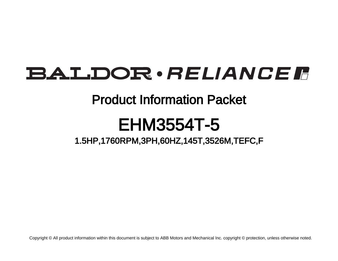# BALDOR · RELIANCE F

## Product Information Packet

# EHM3554T-5

1.5HP,1760RPM,3PH,60HZ,145T,3526M,TEFC,F

Copyright © All product information within this document is subject to ABB Motors and Mechanical Inc. copyright © protection, unless otherwise noted.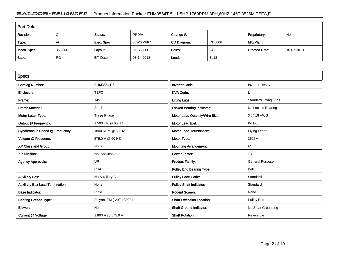### BALDOR · RELIANCE F Product Information Packet: EHM3554T-5 - 1.5HP,1760RPM,3PH,60HZ,145T,3526M,TEFC,F

| <b>Part Detail</b> |           |             |            |             |        |                      |            |  |  |
|--------------------|-----------|-------------|------------|-------------|--------|----------------------|------------|--|--|
| Revision:          | Q         | Status:     | PRD/A      | Change #:   |        | Proprietary:         | No         |  |  |
| Type:              | AC        | Elec. Spec: | 35WGM887   | CD Diagram: | CD0006 | Mfg Plant:           |            |  |  |
| Mech. Spec:        | 35Z141    | Layout:     | 35LYZ141   | Poles:      | 04     | <b>Created Date:</b> | 10-07-2010 |  |  |
| Base:              | <b>RG</b> | Eff. Date:  | 03-14-2018 | Leads:      | 3#18   |                      |            |  |  |

| <b>Specs</b>                           |                         |                                  |                              |
|----------------------------------------|-------------------------|----------------------------------|------------------------------|
| <b>Catalog Number:</b>                 | EHM3554T-5              | <b>Inverter Code:</b>            | <b>Inverter Ready</b>        |
| Enclosure:                             | <b>TEFC</b>             | <b>KVA Code:</b>                 |                              |
| Frame:                                 | 145T                    | <b>Lifting Lugs:</b>             | <b>Standard Lifting Lugs</b> |
| <b>Frame Material:</b>                 | Steel                   | <b>Locked Bearing Indicator:</b> | No Locked Bearing            |
| Motor Letter Type:                     | Three Phase             | Motor Lead Quantity/Wire Size:   | 3 @ 18 AWG                   |
| Output @ Frequency:                    | 1.500 HP @ 60 HZ        | <b>Motor Lead Exit:</b>          | Ko Box                       |
| Synchronous Speed @ Frequency:         | 1800 RPM @ 60 HZ        | <b>Motor Lead Termination:</b>   | <b>Flying Leads</b>          |
| Voltage @ Frequency:                   | 575.0 V @ 60 HZ         | Motor Type:                      | 3526M                        |
| XP Class and Group:                    | None                    | <b>Mounting Arrangement:</b>     | F <sub>1</sub>               |
| <b>XP Division:</b>                    | Not Applicable          | <b>Power Factor:</b>             | 73                           |
| <b>Agency Approvals:</b>               | UR                      | <b>Product Family:</b>           | <b>General Purpose</b>       |
|                                        | <b>CSA</b>              | <b>Pulley End Bearing Type:</b>  | Ball                         |
| <b>Auxillary Box:</b>                  | No Auxillary Box        | <b>Pulley Face Code:</b>         | Standard                     |
| <b>Auxillary Box Lead Termination:</b> | None                    | <b>Pulley Shaft Indicator:</b>   | Standard                     |
| <b>Base Indicator:</b>                 | Rigid                   | <b>Rodent Screen:</b>            | None                         |
| <b>Bearing Grease Type:</b>            | Polyrex EM (-20F +300F) | <b>Shaft Extension Location:</b> | Pulley End                   |
| <b>Blower:</b>                         | None                    | <b>Shaft Ground Indicator:</b>   | No Shaft Grounding           |
| Current @ Voltage:                     | 1.800 A @ 575.0 V       | <b>Shaft Rotation:</b>           | Reversible                   |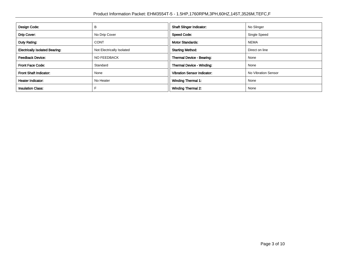| Design Code:                          | в                         | <b>Shaft Slinger Indicator:</b>    | No Slinger          |  |
|---------------------------------------|---------------------------|------------------------------------|---------------------|--|
| Drip Cover:<br>No Drip Cover          |                           | <b>Speed Code:</b>                 | Single Speed        |  |
| Duty Rating:                          | <b>CONT</b>               | <b>Motor Standards:</b>            | <b>NEMA</b>         |  |
| <b>Electrically Isolated Bearing:</b> | Not Electrically Isolated | <b>Starting Method:</b>            | Direct on line      |  |
| <b>Feedback Device:</b>               | <b>NO FEEDBACK</b>        | Thermal Device - Bearing:          | None                |  |
| <b>Front Face Code:</b>               | Standard                  | <b>Thermal Device - Winding:</b>   | None                |  |
| <b>Front Shaft Indicator:</b>         | None                      | <b>Vibration Sensor Indicator:</b> | No Vibration Sensor |  |
| <b>Heater Indicator:</b><br>No Heater |                           | <b>Winding Thermal 1:</b>          | None                |  |
| <b>Insulation Class:</b>              |                           | <b>Winding Thermal 2:</b>          | None                |  |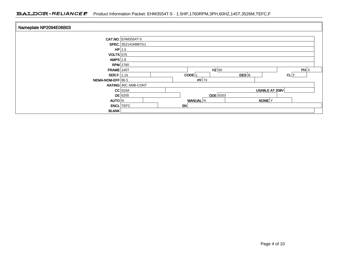| Nameplate NP2094E06B03 |                     |  |                     |                 |                   |      |  |
|------------------------|---------------------|--|---------------------|-----------------|-------------------|------|--|
|                        | CAT.NO. EHM3554T-5  |  |                     |                 |                   |      |  |
|                        | SPEC. 35Z141M887G1  |  |                     |                 |                   |      |  |
|                        | $HP$ 1.5            |  |                     |                 |                   |      |  |
| $VOLTS$ 575            |                     |  |                     |                 |                   |      |  |
| AMPS $1.8$             |                     |  |                     |                 |                   |      |  |
|                        | <b>RPM</b> 1760     |  |                     |                 |                   |      |  |
| $FRAME$ 145T           |                     |  |                     | $HZ$ 60         |                   | PH 3 |  |
| <b>SER.F.</b> 1.15     |                     |  | $CODE$ <sub>L</sub> | DES B           |                   | CL F |  |
| NEMA-NOM-EFF 86.5      |                     |  | $PF$ 73             |                 |                   |      |  |
|                        | RATING 40C AMB-CONT |  |                     |                 |                   |      |  |
|                        | $CC$ 010A           |  |                     |                 | USABLE AT 208V    |      |  |
|                        | $DE$ 6205           |  |                     | <b>ODE</b> 6203 |                   |      |  |
| AUTO N                 |                     |  | <b>MANUAL</b> N     |                 | NONE <sup>Y</sup> |      |  |
|                        | <b>ENCL</b> TEFC    |  | SN                  |                 |                   |      |  |
| <b>BLANK</b>           |                     |  |                     |                 |                   |      |  |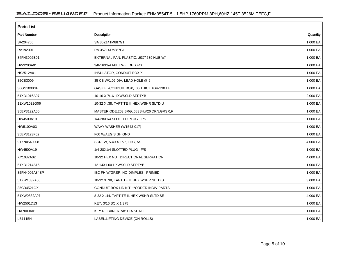| <b>Parts List</b>  |                                              |          |  |  |  |  |
|--------------------|----------------------------------------------|----------|--|--|--|--|
| <b>Part Number</b> | Description                                  | Quantity |  |  |  |  |
| SA204755           | SA 35Z141M887G1                              | 1.000 EA |  |  |  |  |
| RA192001           | RA 35Z141M887G1                              | 1.000 EA |  |  |  |  |
| 34FN3002B01        | EXTERNAL FAN, PLASTIC, .637/.639 HUB W/      | 1.000 EA |  |  |  |  |
| HW3200A01          | 3/8-16X3/4 I-BLT WELDED F/S                  | 1.000 EA |  |  |  |  |
| NS2512A01          | INSULATOR, CONDUIT BOX X                     | 1.000 EA |  |  |  |  |
| 35CB3009           | 35 CB W/1.09 DIA. LEAD HOLE @ 6:             | 1.000 EA |  |  |  |  |
| 36GS1000SP         | GASKET-CONDUIT BOX, .06 THICK #SV-330 LE     | 1.000 EA |  |  |  |  |
| 51XB1016A07        | 10-16 X 7/16 HXWSSLD SERTYB                  | 2.000 EA |  |  |  |  |
| 11XW1032G06        | 10-32 X .38, TAPTITE II, HEX WSHR SLTD U     | 1.000 EA |  |  |  |  |
| 35EP3122A00        | MASTER ODE, 203 BRG, 683SH, #26 DRN, GRSR, F | 1.000 EA |  |  |  |  |
| HW4500A19          | 1/4-28X1/4 SLOTTED PLUG F/S                  | 1.000 EA |  |  |  |  |
| HW5100A03          | WAVY WASHER (W1543-017)                      | 1.000 EA |  |  |  |  |
| 35EP3123F02        | F00 W/AEGIS SH GND                           | 1.000 EA |  |  |  |  |
| 91XN0540J08        | SCREW, 5-40 X 1/2", FHC, AS                  | 4.000 EA |  |  |  |  |
| HW4500A19          | 1/4-28X1/4 SLOTTED PLUG F/S                  | 1.000 EA |  |  |  |  |
| XY1032A02          | 10-32 HEX NUT DIRECTIONAL SERRATION          | 4.000 EA |  |  |  |  |
| 51XB1214A16        | 12-14X1.00 HXWSSLD SERTYB                    | 1.000 EA |  |  |  |  |
| 35FH4005A84SP      | IEC FH W/GRSR, NO DIMPLES PRIMED             | 1.000 EA |  |  |  |  |
| 51XW1032A06        | 10-32 X .38, TAPTITE II, HEX WSHR SLTD S     | 3.000 EA |  |  |  |  |
| 35CB4521GX         | CONDUIT BOX LID KIT ** ORDER INDIV PARTS     | 1.000 EA |  |  |  |  |
| 51XW0832A07        | 8-32 X .44, TAPTITE II, HEX WSHR SLTD SE     | 4.000 EA |  |  |  |  |
| HW2501D13          | KEY, 3/16 SQ X 1.375                         | 1.000 EA |  |  |  |  |
| HA7000A01          | KEY RETAINER 7/8" DIA SHAFT                  | 1.000 EA |  |  |  |  |
| LB1115N            | LABEL, LIFTING DEVICE (ON ROLLS)             | 1.000 EA |  |  |  |  |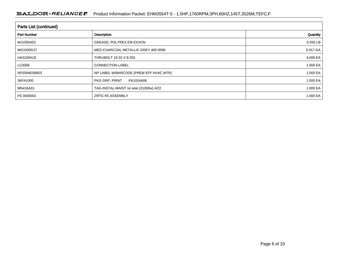| <b>Parts List (continued)</b> |                                         |              |  |  |  |  |
|-------------------------------|-----------------------------------------|--------------|--|--|--|--|
| <b>Part Number</b>            | Description                             | Quantity     |  |  |  |  |
| MJ1000A02                     | GREASE, POLYREX EM EXXON                | 0.050 LB     |  |  |  |  |
| MG1000G27                     | MED CHARCOAL METALLIC GREY 400-0096     | 0.017 GA     |  |  |  |  |
| HA3100A18                     | THRUBOLT 10-32 X 9.250                  | 4.000 EA     |  |  |  |  |
| LC0006                        | <b>CONNECTION LABEL</b>                 | 1.000 EA     |  |  |  |  |
| NP2094E06B03                  | NP LABEL W/BARCODE (PREM EFF HVAC MTR)  | 1.000 EA     |  |  |  |  |
| 36PA1000                      | PKG GRP, PRINT<br>PK1016A06             | 1.000 EA     |  |  |  |  |
| MN416A01                      | TAG-INSTAL-MAINT no wire (2100/bx) 4/22 | 1.000 EA     |  |  |  |  |
| FE-0000001                    | <b>ZRTG FE ASSEMBLY</b>                 | 1.000 EA $ $ |  |  |  |  |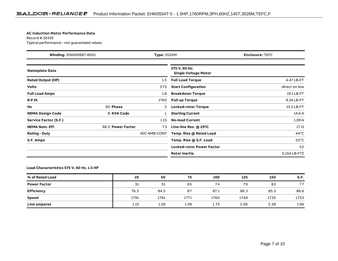#### **AC Induction Motor Performance Data**

Record # 32435Typical performance - not guaranteed values

| Winding: 35WGM887-R001<br><b>Type: 3526M</b> |                   | <b>Enclosure: TEFC</b> |                                              |                |
|----------------------------------------------|-------------------|------------------------|----------------------------------------------|----------------|
| <b>Nameplate Data</b>                        |                   |                        | 575 V, 60 Hz:<br><b>Single Voltage Motor</b> |                |
| <b>Rated Output (HP)</b>                     |                   | 1.5                    | <b>Full Load Torque</b>                      | 4.47 LB-FT     |
| <b>Volts</b>                                 |                   | 575                    | <b>Start Configuration</b>                   | direct on line |
| <b>Full Load Amps</b>                        |                   | 1.8                    | <b>Breakdown Torque</b>                      | 19.1 LB-FT     |
| <b>R.P.M.</b>                                |                   | 1760                   | <b>Pull-up Torque</b>                        | 9.34 LB-FT     |
| Hz                                           | 60 Phase          | 3                      | <b>Locked-rotor Torque</b>                   | 13.3 LB-FT     |
| <b>NEMA Design Code</b>                      | <b>B KVA Code</b> |                        | <b>Starting Current</b>                      | 14.6 A         |
| Service Factor (S.F.)                        |                   | 1.15                   | <b>No-load Current</b>                       | 1.09A          |
| <b>NEMA Nom. Eff.</b>                        | 86.5 Power Factor | 73                     | Line-line Res. @ 25°C                        | $17 \Omega$    |
| <b>Rating - Duty</b>                         |                   | 40C AMB-CONT           | Temp. Rise @ Rated Load                      | $44^{\circ}$ C |
| S.F. Amps                                    |                   |                        | Temp. Rise @ S.F. Load                       | $53^{\circ}$ C |
|                                              |                   |                        | <b>Locked-rotor Power Factor</b>             | 52             |
|                                              |                   |                        | <b>Rotor inertia</b>                         | 0.154 LB-FT2   |

### **Load Characteristics 575 V, 60 Hz, 1.5 HP**

| % of Rated Load     | 25   | 50   | 75   | 100  | 125  | 150  | S.F. |
|---------------------|------|------|------|------|------|------|------|
| <b>Power Factor</b> | 31   | 51   | 65   | 74   | 79   | 83   | 77   |
| <b>Efficiency</b>   | 76.5 | 84.5 | 87   | 87.1 | 86.3 | 85.3 | 86.6 |
| <b>Speed</b>        | 1791 | 1781 | 1771 | 1760 | 1748 | 1735 | 1753 |
| Line amperes        | 1.15 | 1.28 | 1.49 | 1.75 | 2.06 | 2.38 | 1.94 |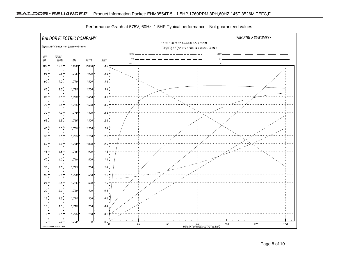

Performance Graph at 575V, 60Hz, 1.5HP Typical performance - Not guaranteed values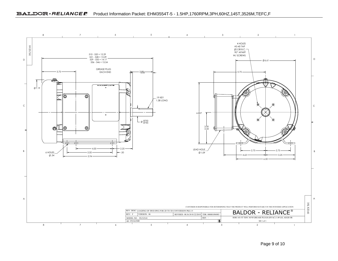